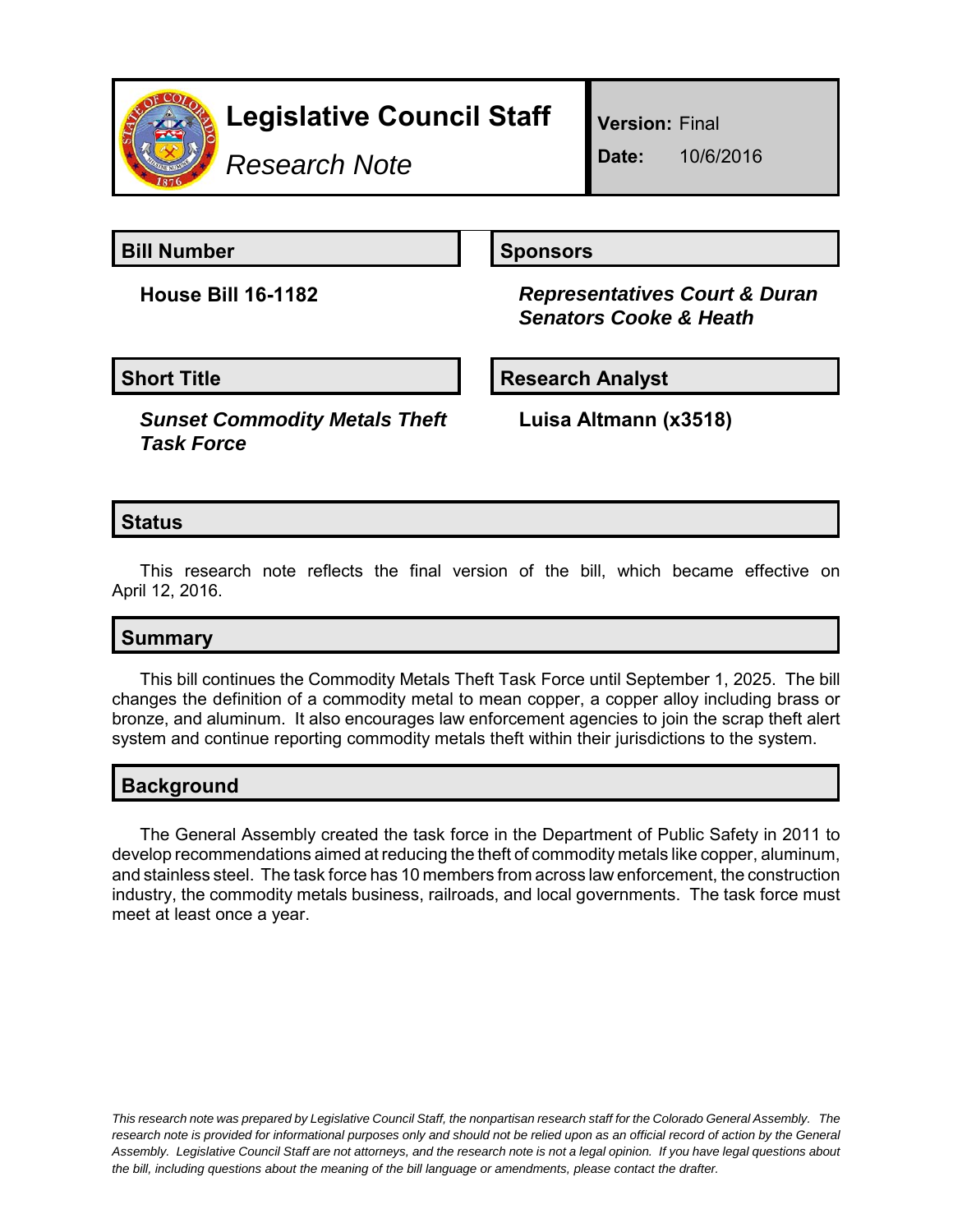

# **Legislative Council Staff**

*Research Note*

**Version:** Final

**Date:** 10/6/2016

**Bill Number Sponsors** 

**House Bill 16-1182** *Representatives Court & Duran Senators Cooke & Heath*

## **Short Title Community Community Community Research Analyst**

*Sunset Commodity Metals Theft Task Force*

**Luisa Altmann (x3518)**

## **Status**

This research note reflects the final version of the bill, which became effective on April 12, 2016.

## **Summary**

This bill continues the Commodity Metals Theft Task Force until September 1, 2025. The bill changes the definition of a commodity metal to mean copper, a copper alloy including brass or bronze, and aluminum. It also encourages law enforcement agencies to join the scrap theft alert system and continue reporting commodity metals theft within their jurisdictions to the system.

## **Background**

The General Assembly created the task force in the Department of Public Safety in 2011 to develop recommendations aimed at reducing the theft of commodity metals like copper, aluminum, and stainless steel. The task force has 10 members from across law enforcement, the construction industry, the commodity metals business, railroads, and local governments. The task force must meet at least once a year.

*This research note was prepared by Legislative Council Staff, the nonpartisan research staff for the Colorado General Assembly. The research note is provided for informational purposes only and should not be relied upon as an official record of action by the General Assembly. Legislative Council Staff are not attorneys, and the research note is not a legal opinion. If you have legal questions about the bill, including questions about the meaning of the bill language or amendments, please contact the drafter.*